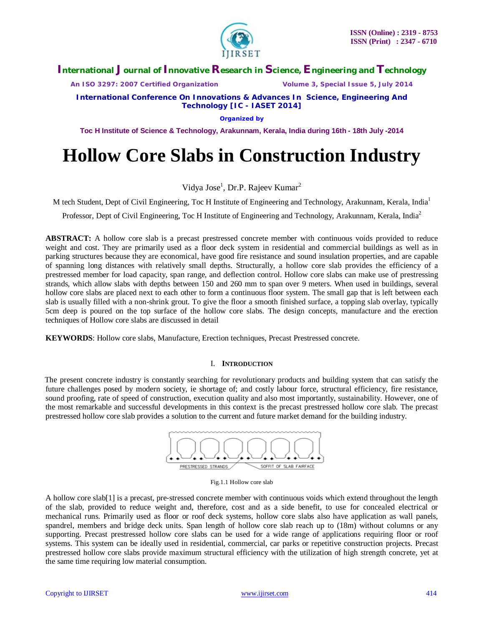

*An ISO 3297: 2007 Certified Organization Volume 3, Special Issue 5, July 2014*

**International Conference On Innovations & Advances In Science, Engineering And Technology [IC - IASET 2014]**

**Organized by**

**Toc H Institute of Science & Technology, Arakunnam, Kerala, India during 16th - 18th July -2014**

# **Hollow Core Slabs in Construction Industry**

Vidya Jose<sup>1</sup>, Dr.P. Rajeev Kumar<sup>2</sup>

M tech Student, Dept of Civil Engineering, Toc H Institute of Engineering and Technology, Arakunnam, Kerala, India<sup>1</sup>

Professor, Dept of Civil Engineering, Toc H Institute of Engineering and Technology, Arakunnam, Kerala, India<sup>2</sup>

**ABSTRACT:** A hollow core slab is a precast prestressed concrete member with continuous voids provided to reduce weight and cost. They are primarily used as a floor deck system in residential and commercial buildings as well as in parking structures because they are economical, have good fire resistance and sound insulation properties, and are capable of spanning long distances with relatively small depths. Structurally, a hollow core slab provides the efficiency of a prestressed member for load capacity, span range, and deflection control. Hollow core slabs can make use of prestressing strands, which allow slabs with depths between 150 and 260 mm to span over 9 meters. When used in buildings, several hollow core slabs are placed next to each other to form a continuous floor system. The small gap that is left between each slab is usually filled with a non-shrink grout. To give the floor a smooth finished surface, a topping slab overlay, typically 5cm deep is poured on the top surface of the hollow core slabs. The design concepts, manufacture and the erection techniques of Hollow core slabs are discussed in detail

**KEYWORDS**: Hollow core slabs, Manufacture, Erection techniques, Precast Prestressed concrete.

# I. **INTRODUCTION**

The present concrete industry is constantly searching for revolutionary products and building system that can satisfy the future challenges posed by modern society, ie shortage of; and costly labour force, structural efficiency, fire resistance, sound proofing, rate of speed of construction, execution quality and also most importantly, sustainability. However, one of the most remarkable and successful developments in this context is the precast prestressed hollow core slab. The precast prestressed hollow core slab provides a solution to the current and future market demand for the building industry.



Fig.1.1 Hollow core slab

A hollow core slab[1] is a precast, pre-stressed concrete member with continuous voids which extend throughout the length of the slab, provided to reduce weight and, therefore, cost and as a side benefit, to use for concealed electrical or mechanical runs. Primarily used as floor or roof deck systems, hollow core slabs also have application as wall panels, spandrel, members and bridge deck units. Span length of hollow core slab reach up to (18m) without columns or any supporting. Precast prestressed hollow core slabs can be used for a wide range of applications requiring floor or roof systems. This system can be ideally used in residential, commercial, car parks or repetitive construction projects. Precast prestressed hollow core slabs provide maximum structural efficiency with the utilization of high strength concrete, yet at the same time requiring low material consumption.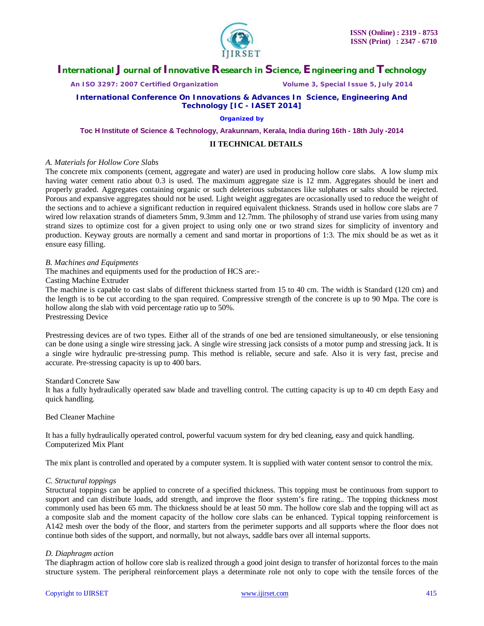

*An ISO 3297: 2007 Certified Organization Volume 3, Special Issue 5, July 2014*

# **International Conference On Innovations & Advances In Science, Engineering And Technology [IC - IASET 2014]**

#### **Organized by**

**Toc H Institute of Science & Technology, Arakunnam, Kerala, India during 16th - 18th July -2014**

# **II TECHNICAL DETAILS**

# *A. Materials for Hollow Core Slabs*

The concrete mix components (cement, aggregate and water) are used in producing hollow core slabs. A low slump mix having water cement ratio about 0.3 is used. The maximum aggregate size is 12 mm. Aggregates should be inert and properly graded. Aggregates containing organic or such deleterious substances like sulphates or salts should be rejected. Porous and expansive aggregates should not be used. Light weight aggregates are occasionally used to reduce the weight of the sections and to achieve a significant reduction in required equivalent thickness. Strands used in hollow core slabs are 7 wired low relaxation strands of diameters 5mm, 9.3mm and 12.7mm. The philosophy of strand use varies from using many strand sizes to optimize cost for a given project to using only one or two strand sizes for simplicity of inventory and production. Keyway grouts are normally a cement and sand mortar in proportions of 1:3. The mix should be as wet as it ensure easy filling.

#### *B. Machines and Equipments*

The machines and equipments used for the production of HCS are:-

# Casting Machine Extruder

The machine is capable to cast slabs of different thickness started from 15 to 40 cm. The width is Standard (120 cm) and the length is to be cut according to the span required. Compressive strength of the concrete is up to 90 Mpa. The core is hollow along the slab with void percentage ratio up to 50%.

# Prestressing Device

Prestressing devices are of two types. Either all of the strands of one bed are tensioned simultaneously, or else tensioning can be done using a single wire stressing jack. A single wire stressing jack consists of a motor pump and stressing jack. It is a single wire hydraulic pre‐stressing pump. This method is reliable, secure and safe. Also it is very fast, precise and accurate. Pre‐stressing capacity is up to 400 bars.

# Standard Concrete Saw

It has a fully hydraulically operated saw blade and travelling control. The cutting capacity is up to 40 cm depth Easy and quick handling.

# Bed Cleaner Machine

It has a fully hydraulically operated control, powerful vacuum system for dry bed cleaning, easy and quick handling. Computerized Mix Plant

The mix plant is controlled and operated by a computer system. It is supplied with water content sensor to control the mix.

# *C. Structural toppings*

Structural toppings can be applied to concrete of a specified thickness. This topping must be continuous from support to support and can distribute loads, add strength, and improve the floor system's fire rating.. The topping thickness most commonly used has been 65 mm. The thickness should be at least 50 mm. The hollow core slab and the topping will act as a composite slab and the moment capacity of the hollow core slabs can be enhanced. Typical topping reinforcement is A142 mesh over the body of the floor, and starters from the perimeter supports and all supports where the floor does not continue both sides of the support, and normally, but not always, saddle bars over all internal supports.

# *D. Diaphragm action*

The diaphragm action of hollow core slab is realized through a good joint design to transfer of horizontal forces to the main structure system. The peripheral reinforcement plays a determinate role not only to cope with the tensile forces of the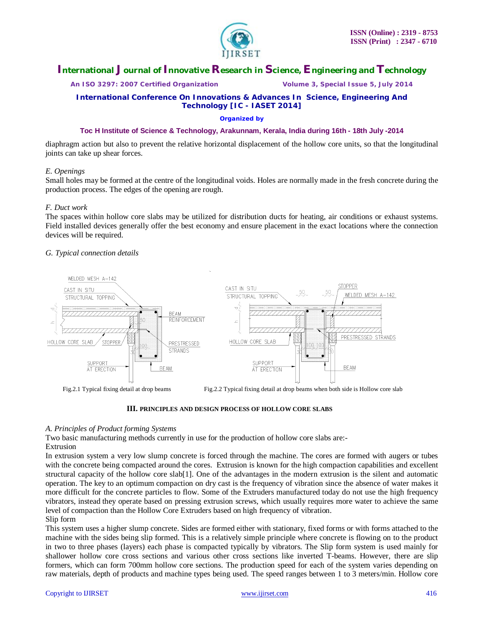

*An ISO 3297: 2007 Certified Organization Volume 3, Special Issue 5, July 2014*

**International Conference On Innovations & Advances In Science, Engineering And Technology [IC - IASET 2014]**

#### **Organized by**

# **Toc H Institute of Science & Technology, Arakunnam, Kerala, India during 16th - 18th July -2014**

diaphragm action but also to prevent the relative horizontal displacement of the hollow core units, so that the longitudinal joints can take up shear forces.

# *E. Openings*

Small holes may be formed at the centre of the longitudinal voids. Holes are normally made in the fresh concrete during the production process. The edges of the opening are rough.

#### *F. Duct work*

The spaces within hollow core slabs may be utilized for distribution ducts for heating, air conditions or exhaust systems. Field installed devices generally offer the best economy and ensure placement in the exact locations where the connection devices will be required.

# *G. Typical connection details*



Fig.2.1 Typical fixing detail at drop beams Fig.2.2 Typical fixing detail at drop beams when both side is Hollow core slab



# *A. Principles of Product forming Systems*

Two basic manufacturing methods currently in use for the production of hollow core slabs are:- Extrusion

In extrusion system a very low slump concrete is forced through the machine. The cores are formed with augers or tubes with the concrete being compacted around the cores. Extrusion is known for the high compaction capabilities and excellent structural capacity of the hollow core slab[1]. One of the advantages in the modern extrusion is the silent and automatic operation. The key to an optimum compaction on dry cast is the frequency of vibration since the absence of water makes it more difficult for the concrete particles to flow. Some of the Extruders manufactured today do not use the high frequency vibrators, instead they operate based on pressing extrusion screws, which usually requires more water to achieve the same level of compaction than the Hollow Core Extruders based on high frequency of vibration. Slip form

This system uses a higher slump concrete. Sides are formed either with stationary, fixed forms or with forms attached to the machine with the sides being slip formed. This is a relatively simple principle where concrete is flowing on to the product in two to three phases (layers) each phase is compacted typically by vibrators. The Slip form system is used mainly for shallower hollow core cross sections and various other cross sections like inverted T-beams. However, there are slip formers, which can form 700mm hollow core sections. The production speed for each of the system varies depending on raw materials, depth of products and machine types being used. The speed ranges between 1 to 3 meters/min. Hollow core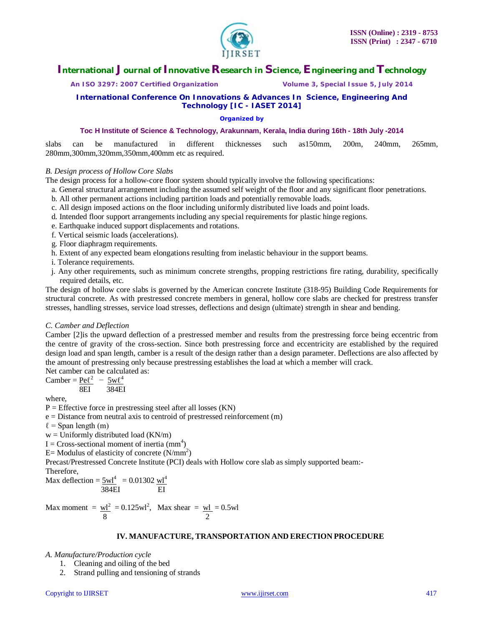

*An ISO 3297: 2007 Certified Organization Volume 3, Special Issue 5, July 2014*

# **International Conference On Innovations & Advances In Science, Engineering And Technology [IC - IASET 2014]**

# **Organized by**

# **Toc H Institute of Science & Technology, Arakunnam, Kerala, India during 16th - 18th July -2014**

slabs can be manufactured in different thicknesses such as150mm, 200m, 240mm, 265mm, 280mm,300mm,320mm,350mm,400mm etc as required.

# *B. Design process of Hollow Core Slabs*

The design process for a hollow-core floor system should typically involve the following specifications:

- a. General structural arrangement including the assumed self weight of the floor and any significant floor penetrations.
- b. All other permanent actions including partition loads and potentially removable loads.
- c. All design imposed actions on the floor including uniformly distributed live loads and point loads.
- d. Intended floor support arrangements including any special requirements for plastic hinge regions.
- e. Earthquake induced support displacements and rotations.
- f. Vertical seismic loads (accelerations).
- g. Floor diaphragm requirements.
- h. Extent of any expected beam elongations resulting from inelastic behaviour in the support beams.
- i. Tolerance requirements.
- j. Any other requirements, such as minimum concrete strengths, propping restrictions fire rating, durability, specifically required details, etc.

The design of hollow core slabs is governed by the American concrete Institute (318-95) Building Code Requirements for structural concrete. As with prestressed concrete members in general, hollow core slabs are checked for prestress transfer stresses, handling stresses, service load stresses, deflections and design (ultimate) strength in shear and bending.

# *C. Camber and Deflection*

Camber [2]is the upward deflection of a prestressed member and results from the prestressing force being eccentric from the centre of gravity of the cross-section. Since both prestressing force and eccentricity are established by the required design load and span length, camber is a result of the design rather than a design parameter. Deflections are also affected by the amount of prestressing only because prestressing establishes the load at which a member will crack.

Net camber can be calculated as:

Camber =  $\text{Pe}\ell^2$  -  $5w\ell^4$ 8EI 384EI

where,

 $P =$  Effective force in prestressing steel after all losses (KN)

e = Distance from neutral axis to centroid of prestressed reinforcement (m)

 $\ell$  = Span length (m)

 $w =$  Uniformly distributed load (KN/m)

 $I = Cross-sectional$  moment of inertia (mm<sup>4</sup>)

 $E=$  Modulus of elasticity of concrete  $(N/mm^2)$ 

Precast/Prestressed Concrete Institute (PCI) deals with Hollow core slab as simply supported beam:-

Therefore,

Max deflection =  $5 \text{wl}^4$  = 0.01302  $\text{wl}^4$ 384EI

Max moment =  $\text{w1}^2$  = 0.125wl<sup>2</sup>, Max shear =  $\text{w1}$  = 0.5wl 8 2

# **IV. MANUFACTURE, TRANSPORTATION AND ERECTION PROCEDURE**

# *A. Manufacture/Production cycle*

- 1. Cleaning and oiling of the bed
- 2. Strand pulling and tensioning of strands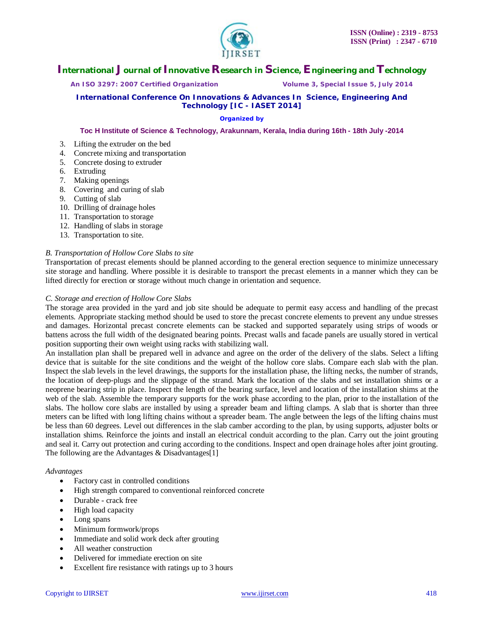

*An ISO 3297: 2007 Certified Organization Volume 3, Special Issue 5, July 2014*

**International Conference On Innovations & Advances In Science, Engineering And Technology [IC - IASET 2014]**

# **Organized by**

# **Toc H Institute of Science & Technology, Arakunnam, Kerala, India during 16th - 18th July -2014**

- 3. Lifting the extruder on the bed
- 4. Concrete mixing and transportation
- 5. Concrete dosing to extruder
- 6. Extruding
- 7. Making openings
- 8. Covering and curing of slab
- 9. Cutting of slab
- 10. Drilling of drainage holes
- 11. Transportation to storage
- 12. Handling of slabs in storage
- 13. Transportation to site.

# *B. Transportation of Hollow Core Slabs to site*

Transportation of precast elements should be planned according to the general erection sequence to minimize unnecessary site storage and handling. Where possible it is desirable to transport the precast elements in a manner which they can be lifted directly for erection or storage without much change in orientation and sequence.

# *C. Storage and erection of Hollow Core Slabs*

The storage area provided in the yard and job site should be adequate to permit easy access and handling of the precast elements. Appropriate stacking method should be used to store the precast concrete elements to prevent any undue stresses and damages. Horizontal precast concrete elements can be stacked and supported separately using strips of woods or battens across the full width of the designated bearing points. Precast walls and facade panels are usually stored in vertical position supporting their own weight using racks with stabilizing wall.

An installation plan shall be prepared well in advance and agree on the order of the delivery of the slabs. Select a lifting device that is suitable for the site conditions and the weight of the hollow core slabs. Compare each slab with the plan. Inspect the slab levels in the level drawings, the supports for the installation phase, the lifting necks, the number of strands, the location of deep-plugs and the slippage of the strand. Mark the location of the slabs and set installation shims or a neoprene bearing strip in place. Inspect the length of the bearing surface, level and location of the installation shims at the web of the slab. Assemble the temporary supports for the work phase according to the plan, prior to the installation of the slabs. The hollow core slabs are installed by using a spreader beam and lifting clamps. A slab that is shorter than three meters can be lifted with long lifting chains without a spreader beam. The angle between the legs of the lifting chains must be less than 60 degrees. Level out differences in the slab camber according to the plan, by using supports, adjuster bolts or installation shims. Reinforce the joints and install an electrical conduit according to the plan. Carry out the joint grouting and seal it. Carry out protection and curing according to the conditions. Inspect and open drainage holes after joint grouting. The following are the Advantages  $& Disadvantages[1]$ 

# *Advantages*

- Factory cast in controlled conditions
- High strength compared to conventional reinforced concrete
- Durable crack free
- High load capacity
- Long spans
- Minimum formwork/props
- Immediate and solid work deck after grouting
- All weather construction
- Delivered for immediate erection on site
- Excellent fire resistance with ratings up to 3 hours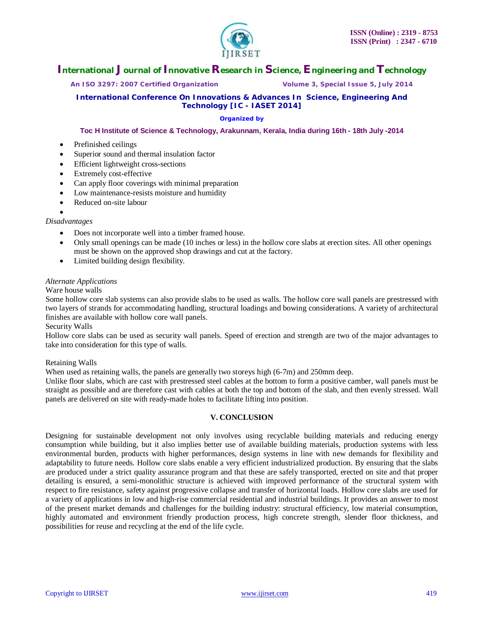

*An ISO 3297: 2007 Certified Organization Volume 3, Special Issue 5, July 2014*

**International Conference On Innovations & Advances In Science, Engineering And Technology [IC - IASET 2014]**

# **Organized by**

**Toc H Institute of Science & Technology, Arakunnam, Kerala, India during 16th - 18th July -2014**

- Prefinished ceilings
- Superior sound and thermal insulation factor
- Efficient lightweight cross-sections
- Extremely cost-effective
- Can apply floor coverings with minimal preparation
- Low maintenance-resists moisture and humidity
- Reduced on-site labour

 $\bullet$ 

# *Disadvantages*

- Does not incorporate well into a timber framed house.
- Only small openings can be made (10 inches or less) in the hollow core slabs at erection sites. All other openings must be shown on the approved shop drawings and cut at the factory.
- Limited building design flexibility.

# *Alternate Applications*

Ware house walls

Some hollow core slab systems can also provide slabs to be used as walls. The hollow core wall panels are prestressed with two layers of strands for accommodating handling, structural loadings and bowing considerations. A variety of architectural finishes are available with hollow core wall panels.

Security Walls

Hollow core slabs can be used as security wall panels. Speed of erection and strength are two of the major advantages to take into consideration for this type of walls.

# Retaining Walls

When used as retaining walls, the panels are generally two storeys high  $(6-7m)$  and 250mm deep.

Unlike floor slabs, which are cast with prestressed steel cables at the bottom to form a positive camber, wall panels must be straight as possible and are therefore cast with cables at both the top and bottom of the slab, and then evenly stressed. Wall panels are delivered on site with ready-made holes to facilitate lifting into position.

# **V. CONCLUSION**

Designing for sustainable development not only involves using recyclable building materials and reducing energy consumption while building, but it also implies better use of available building materials, production systems with less environmental burden, products with higher performances, design systems in line with new demands for flexibility and adaptability to future needs. Hollow core slabs enable a very efficient industrialized production. By ensuring that the slabs are produced under a strict quality assurance program and that these are safely transported, erected on site and that proper detailing is ensured, a semi-monolithic structure is achieved with improved performance of the structural system with respect to fire resistance, safety against progressive collapse and transfer of horizontal loads. Hollow core slabs are used for a variety of applications in low and high-rise commercial residential and industrial buildings. It provides an answer to most of the present market demands and challenges for the building industry: structural efficiency, low material consumption, highly automated and environment friendly production process, high concrete strength, slender floor thickness, and possibilities for reuse and recycling at the end of the life cycle.